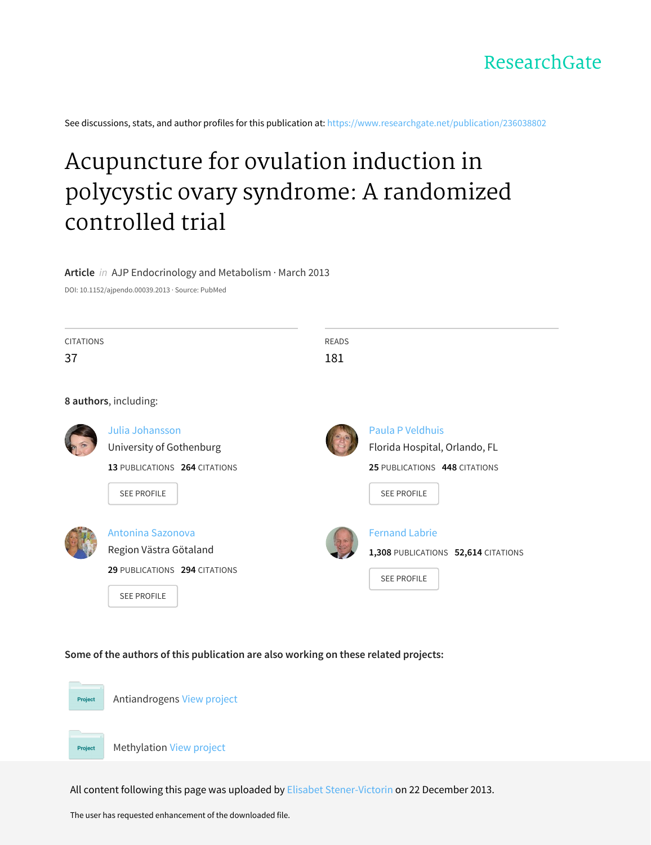

See discussions, stats, and author profiles for this publication at: [https://www.researchgate.net/publication/236038802](https://www.researchgate.net/publication/236038802_Acupuncture_for_ovulation_induction_in_polycystic_ovary_syndrome_A_randomized_controlled_trial?enrichId=rgreq-8c776d29df2901b378b9cc962db954ba-XXX&enrichSource=Y292ZXJQYWdlOzIzNjAzODgwMjtBUzoxMDExODU1NzkxMjY3OTRAMTQwMTEzNTkzMDc3OA%3D%3D&el=1_x_2&_esc=publicationCoverPdf)

## [Acupuncture](https://www.researchgate.net/publication/236038802_Acupuncture_for_ovulation_induction_in_polycystic_ovary_syndrome_A_randomized_controlled_trial?enrichId=rgreq-8c776d29df2901b378b9cc962db954ba-XXX&enrichSource=Y292ZXJQYWdlOzIzNjAzODgwMjtBUzoxMDExODU1NzkxMjY3OTRAMTQwMTEzNTkzMDc3OA%3D%3D&el=1_x_3&_esc=publicationCoverPdf) for ovulation induction in polycystic ovary syndrome: A randomized controlled trial

#### **Article** in AJP Endocrinology and Metabolism · March 2013

DOI: 10.1152/ajpendo.00039.2013 · Source: PubMed

| <b>CITATIONS</b><br>37 |                                                                                                    | <b>READS</b><br>181                                                                                      |
|------------------------|----------------------------------------------------------------------------------------------------|----------------------------------------------------------------------------------------------------------|
|                        | 8 authors, including:                                                                              |                                                                                                          |
|                        | Julia Johansson<br>University of Gothenburg<br>13 PUBLICATIONS 264 CITATIONS<br><b>SEE PROFILE</b> | Paula P Veldhuis<br>Florida Hospital, Orlando, FL<br>25 PUBLICATIONS 448 CITATIONS<br><b>SEE PROFILE</b> |
|                        | Antonina Sazonova<br>Region Västra Götaland<br>29 PUBLICATIONS 294 CITATIONS<br><b>SEE PROFILE</b> | <b>Fernand Labrie</b><br>1,308 PUBLICATIONS 52,614 CITATIONS<br><b>SEE PROFILE</b>                       |

#### **Some of the authors of this publication are also working on these related projects:**



All content following this page was uploaded by Elisabet [Stener-Victorin](https://www.researchgate.net/profile/Elisabet_Stener-Victorin2?enrichId=rgreq-8c776d29df2901b378b9cc962db954ba-XXX&enrichSource=Y292ZXJQYWdlOzIzNjAzODgwMjtBUzoxMDExODU1NzkxMjY3OTRAMTQwMTEzNTkzMDc3OA%3D%3D&el=1_x_10&_esc=publicationCoverPdf) on 22 December 2013.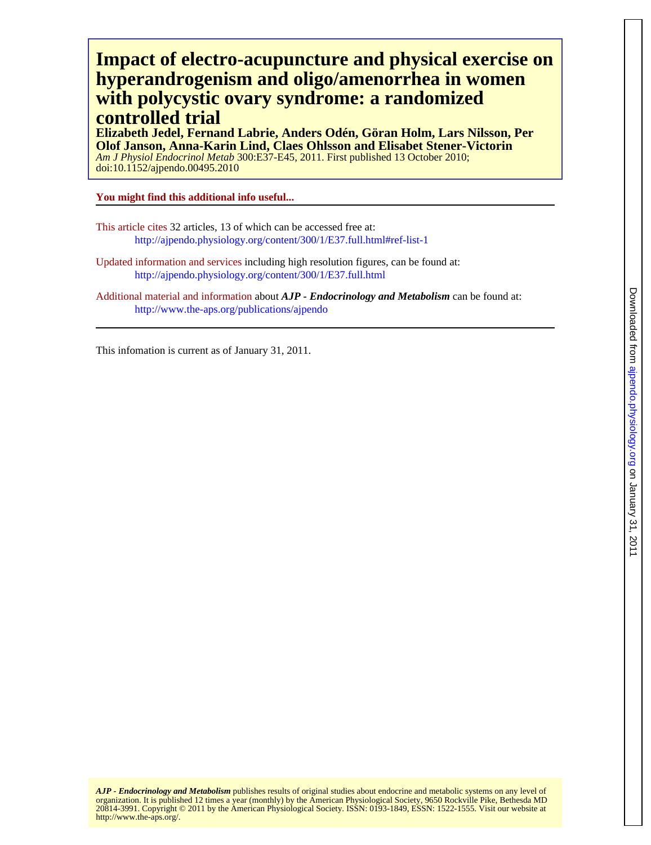### **controlled trial with polycystic ovary syndrome: a randomized hyperandrogenism and oligo/amenorrhea in women Impact of electro-acupuncture and physical exercise on**

doi:10.1152/ajpendo.00495.2010 *Am J Physiol Endocrinol Metab* 300:E37-E45, 2011. First published 13 October 2010; **Olof Janson, Anna-Karin Lind, Claes Ohlsson and Elisabet Stener-Victorin Elizabeth Jedel, Fernand Labrie, Anders Odén, Göran Holm, Lars Nilsson, Per**

**You might find this additional info useful...**

This article cites 32 articles, 13 of which can be accessed free at: <http://ajpendo.physiology.org/content/300/1/E37.full.html#ref-list-1>

Updated information and services including high resolution figures, can be found at: <http://ajpendo.physiology.org/content/300/1/E37.full.html>

Additional material and information about *AJP - Endocrinology and Metabolism* can be found at: http://www.the-aps.org/publications/ajpendo

This infomation is current as of January 31, 2011.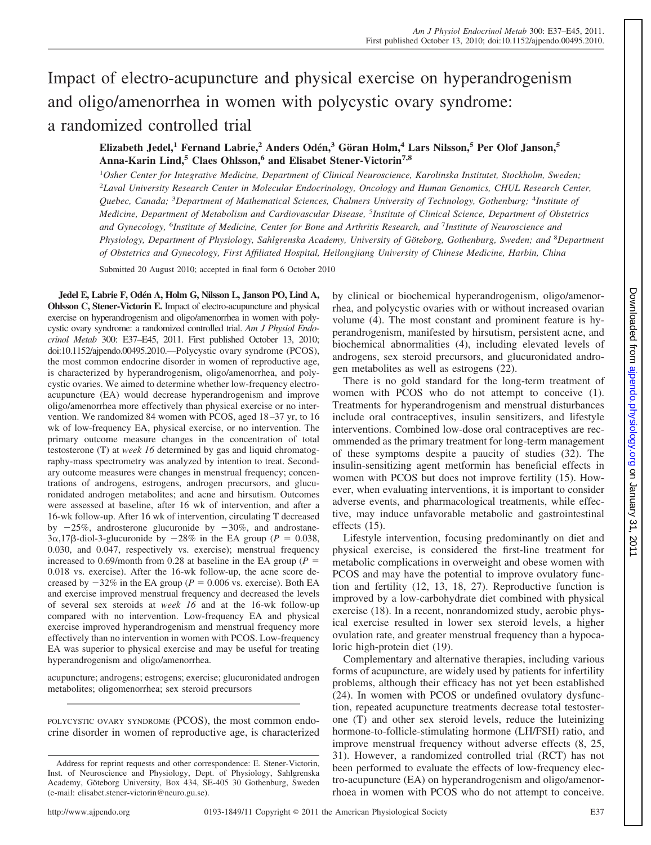## Impact of electro-acupuncture and physical exercise on hyperandrogenism and oligo/amenorrhea in women with polycystic ovary syndrome: a randomized controlled trial

**Elizabeth Jedel,<sup>1</sup> Fernand Labrie,<sup>2</sup> Anders Odén,<sup>3</sup> Göran Holm,<sup>4</sup> Lars Nilsson,<sup>5</sup> Per Olof Janson,<sup>5</sup> Anna-Karin Lind,<sup>5</sup> Claes Ohlsson,<sup>6</sup> and Elisabet Stener-Victorin7,8**

1 *Osher Center for Integrative Medicine, Department of Clinical Neuroscience, Karolinska Institutet, Stockholm, Sweden;* 2 *Laval University Research Center in Molecular Endocrinology, Oncology and Human Genomics, CHUL Research Center, Quebec, Canada;* <sup>3</sup> *Department of Mathematical Sciences, Chalmers University of Technology, Gothenburg;* <sup>4</sup> *Institute of Medicine, Department of Metabolism and Cardiovascular Disease,* <sup>5</sup> *Institute of Clinical Science, Department of Obstetrics and Gynecology,* <sup>6</sup> *Institute of Medicine, Center for Bone and Arthritis Research, and* <sup>7</sup> *Institute of Neuroscience and Physiology, Department of Physiology, Sahlgrenska Academy, University of Göteborg, Gothenburg, Sweden; and* <sup>8</sup> *Department of Obstetrics and Gynecology, First Affiliated Hospital, Heilongjiang University of Chinese Medicine, Harbin, China*

Submitted 20 August 2010; accepted in final form 6 October 2010

**Jedel E, Labrie F, Odén A, Holm G, Nilsson L, Janson PO, Lind A, Ohlsson C, Stener-Victorin E.** Impact of electro-acupuncture and physical exercise on hyperandrogenism and oligo/amenorrhea in women with polycystic ovary syndrome: a randomized controlled trial. *Am J Physiol Endocrinol Metab* 300: E37–E45, 2011. First published October 13, 2010; doi:10.1152/ajpendo.00495.2010.—Polycystic ovary syndrome (PCOS), the most common endocrine disorder in women of reproductive age, is characterized by hyperandrogenism, oligo/amenorrhea, and polycystic ovaries. We aimed to determine whether low-frequency electroacupuncture (EA) would decrease hyperandrogenism and improve oligo/amenorrhea more effectively than physical exercise or no intervention. We randomized 84 women with PCOS, aged 18 –37 yr, to 16 wk of low-frequency EA, physical exercise, or no intervention. The primary outcome measure changes in the concentration of total testosterone (T) at *week 16* determined by gas and liquid chromatography-mass spectrometry was analyzed by intention to treat. Secondary outcome measures were changes in menstrual frequency; concentrations of androgens, estrogens, androgen precursors, and glucuronidated androgen metabolites; and acne and hirsutism. Outcomes were assessed at baseline, after 16 wk of intervention, and after a 16-wk follow-up. After 16 wk of intervention, circulating T decreased by  $-25\%$ , androsterone glucuronide by  $-30\%$ , and androstane- $3\alpha$ ,17 $\beta$ -diol-3-glucuronide by  $-28\%$  in the EA group ( $P = 0.038$ , 0.030, and 0.047, respectively vs. exercise); menstrual frequency increased to 0.69/month from 0.28 at baseline in the EA group ( $P =$ 0.018 vs. exercise). After the 16-wk follow-up, the acne score decreased by  $-32\%$  in the EA group ( $P = 0.006$  vs. exercise). Both EA and exercise improved menstrual frequency and decreased the levels of several sex steroids at *week 16* and at the 16-wk follow-up compared with no intervention. Low-frequency EA and physical exercise improved hyperandrogenism and menstrual frequency more effectively than no intervention in women with PCOS. Low-frequency EA was superior to physical exercise and may be useful for treating hyperandrogenism and oligo/amenorrhea.

acupuncture; androgens; estrogens; exercise; glucuronidated androgen metabolites; oligomenorrhea; sex steroid precursors

POLYCYSTIC OVARY SYNDROME (PCOS), the most common endocrine disorder in women of reproductive age, is characterized by clinical or biochemical hyperandrogenism, oligo/amenorrhea, and polycystic ovaries with or without increased ovarian volume (4). The most constant and prominent feature is hyperandrogenism, manifested by hirsutism, persistent acne, and biochemical abnormalities (4), including elevated levels of androgens, sex steroid precursors, and glucuronidated androgen metabolites as well as estrogens (22).

There is no gold standard for the long-term treatment of women with PCOS who do not attempt to conceive (1). Treatments for hyperandrogenism and menstrual disturbances include oral contraceptives, insulin sensitizers, and lifestyle interventions. Combined low-dose oral contraceptives are recommended as the primary treatment for long-term management of these symptoms despite a paucity of studies (32). The insulin-sensitizing agent metformin has beneficial effects in women with PCOS but does not improve fertility (15). However, when evaluating interventions, it is important to consider adverse events, and pharmacological treatments, while effective, may induce unfavorable metabolic and gastrointestinal effects (15).

Lifestyle intervention, focusing predominantly on diet and physical exercise, is considered the first-line treatment for metabolic complications in overweight and obese women with PCOS and may have the potential to improve ovulatory function and fertility (12, 13, 18, 27). Reproductive function is improved by a low-carbohydrate diet combined with physical exercise (18). In a recent, nonrandomized study, aerobic physical exercise resulted in lower sex steroid levels, a higher ovulation rate, and greater menstrual frequency than a hypocaloric high-protein diet (19).

Complementary and alternative therapies, including various forms of acupuncture, are widely used by patients for infertility problems, although their efficacy has not yet been established (24). In women with PCOS or undefined ovulatory dysfunction, repeated acupuncture treatments decrease total testosterone (T) and other sex steroid levels, reduce the luteinizing hormone-to-follicle-stimulating hormone (LH/FSH) ratio, and improve menstrual frequency without adverse effects (8, 25, 31). However, a randomized controlled trial (RCT) has not been performed to evaluate the effects of low-frequency electro-acupuncture (EA) on hyperandrogenism and oligo/amenorrhoea in women with PCOS who do not attempt to conceive.

Address for reprint requests and other correspondence: E. Stener-Victorin, Inst. of Neuroscience and Physiology, Dept. of Physiology, Sahlgrenska Academy, Göteborg University, Box 434, SE-405 30 Gothenburg, Sweden (e-mail: elisabet.stener-victorin@neuro.gu.se).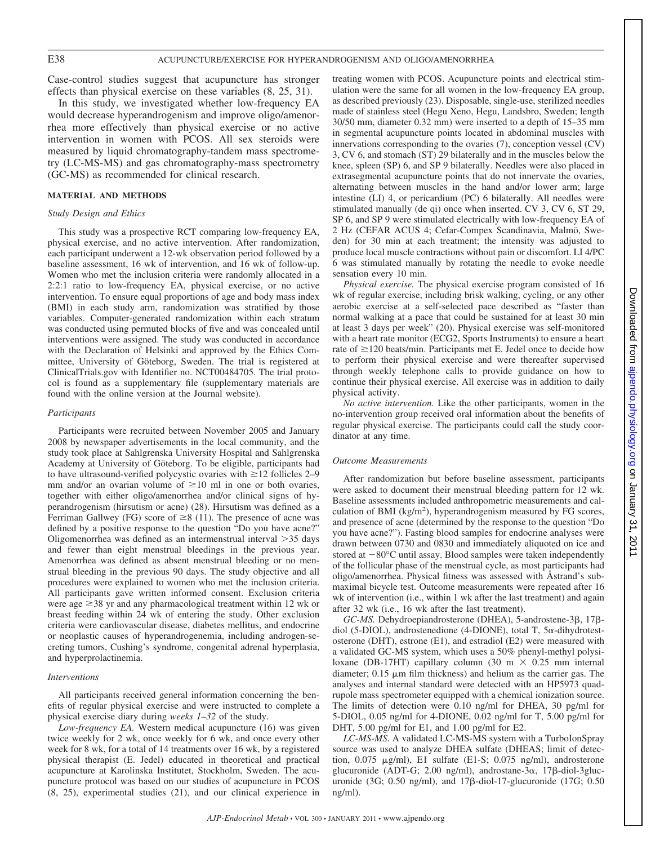Case-control studies suggest that acupuncture has stronger effects than physical exercise on these variables (8, 25, 31).

In this study, we investigated whether low-frequency EA would decrease hyperandrogenism and improve oligo/amenorrhea more effectively than physical exercise or no active intervention in women with PCOS. All sex steroids were measured by liquid chromatography-tandem mass spectrometry (LC-MS-MS) and gas chromatography-mass spectrometry (GC-MS) as recommended for clinical research.

#### **MATERIAL AND METHODS**

#### *Study Design and Ethics*

This study was a prospective RCT comparing low-frequency EA, physical exercise, and no active intervention. After randomization, each participant underwent a 12-wk observation period followed by a baseline assessment, 16 wk of intervention, and 16 wk of follow-up. Women who met the inclusion criteria were randomly allocated in a 2:2:1 ratio to low-frequency EA, physical exercise, or no active intervention. To ensure equal proportions of age and body mass index (BMI) in each study arm, randomization was stratified by those variables. Computer-generated randomization within each stratum was conducted using permuted blocks of five and was concealed until interventions were assigned. The study was conducted in accordance with the Declaration of Helsinki and approved by the Ethics Committee, University of Göteborg, Sweden. The trial is registered at ClinicalTrials.gov with Identifier no. NCT00484705. The trial protocol is found as a supplementary file (supplementary materials are found with the online version at the Journal website).

#### *Participants*

Participants were recruited between November 2005 and January 2008 by newspaper advertisements in the local community, and the study took place at Sahlgrenska University Hospital and Sahlgrenska Academy at University of Göteborg. To be eligible, participants had to have ultrasound-verified polycystic ovaries with  $\geq 12$  follicles 2–9 mm and/or an ovarian volume of  $\geq 10$  ml in one or both ovaries, together with either oligo/amenorrhea and/or clinical signs of hyperandrogenism (hirsutism or acne) (28). Hirsutism was defined as a Ferriman Gallwey (FG) score of  $\geq 8$  (11). The presence of acne was defined by a positive response to the question "Do you have acne?" Oligomenorrhea was defined as an intermenstrual interval 35 days and fewer than eight menstrual bleedings in the previous year. Amenorrhea was defined as absent menstrual bleeding or no menstrual bleeding in the previous 90 days. The study objective and all procedures were explained to women who met the inclusion criteria. All participants gave written informed consent. Exclusion criteria were age  $\geq$ 38 yr and any pharmacological treatment within 12 wk or breast feeding within 24 wk of entering the study. Other exclusion criteria were cardiovascular disease, diabetes mellitus, and endocrine or neoplastic causes of hyperandrogenemia, including androgen-secreting tumors, Cushing's syndrome, congenital adrenal hyperplasia, and hyperprolactinemia.

#### *Interventions*

All participants received general information concerning the benefits of regular physical exercise and were instructed to complete a physical exercise diary during *weeks 1–32* of the study.

*Low-frequency EA.* Western medical acupuncture (16) was given twice weekly for 2 wk, once weekly for 6 wk, and once every other week for 8 wk, for a total of 14 treatments over 16 wk, by a registered physical therapist (E. Jedel) educated in theoretical and practical acupuncture at Karolinska Institutet, Stockholm, Sweden. The acupuncture protocol was based on our studies of acupuncture in PCOS (8, 25), experimental studies (21), and our clinical experience in treating women with PCOS. Acupuncture points and electrical stimulation were the same for all women in the low-frequency EA group, as described previously (23). Disposable, single-use, sterilized needles made of stainless steel (Hegu Xeno, Hegu, Landsbro, Sweden; length 30/50 mm, diameter 0.32 mm) were inserted to a depth of 15–35 mm in segmental acupuncture points located in abdominal muscles with innervations corresponding to the ovaries (7), conception vessel (CV) 3, CV 6, and stomach (ST) 29 bilaterally and in the muscles below the knee, spleen (SP) 6, and SP 9 bilaterally. Needles were also placed in extrasegmental acupuncture points that do not innervate the ovaries, alternating between muscles in the hand and/or lower arm; large intestine (LI) 4, or pericardium (PC) 6 bilaterally. All needles were stimulated manually (de qi) once when inserted. CV 3, CV 6, ST 29, SP 6, and SP 9 were stimulated electrically with low-frequency EA of 2 Hz (CEFAR ACUS 4; Cefar-Compex Scandinavia, Malmö, Sweden) for 30 min at each treatment; the intensity was adjusted to produce local muscle contractions without pain or discomfort. LI 4/PC 6 was stimulated manually by rotating the needle to evoke needle sensation every 10 min.

*Physical exercise.* The physical exercise program consisted of 16 wk of regular exercise, including brisk walking, cycling, or any other aerobic exercise at a self-selected pace described as "faster than normal walking at a pace that could be sustained for at least 30 min at least 3 days per week" (20). Physical exercise was self-monitored with a heart rate monitor (ECG2, Sports Instruments) to ensure a heart rate of  $\geq$ 120 beats/min. Participants met E. Jedel once to decide how to perform their physical exercise and were thereafter supervised through weekly telephone calls to provide guidance on how to continue their physical exercise. All exercise was in addition to daily physical activity.

*No active intervention.* Like the other participants, women in the no-intervention group received oral information about the benefits of regular physical exercise. The participants could call the study coordinator at any time.

#### *Outcome Measurements*

After randomization but before baseline assessment, participants were asked to document their menstrual bleeding pattern for 12 wk. Baseline assessments included anthropometric measurements and calculation of BMI (kg/m<sup>2</sup>), hyperandrogenism measured by FG scores, and presence of acne (determined by the response to the question "Do you have acne?"). Fasting blood samples for endocrine analyses were drawn between 0730 and 0830 and immediately aliquoted on ice and stored at  $-80^{\circ}$ C until assay. Blood samples were taken independently of the follicular phase of the menstrual cycle, as most participants had oligo/amenorrhea. Physical fitness was assessed with Åstrand's submaximal bicycle test. Outcome measurements were repeated after 16 wk of intervention (i.e., within 1 wk after the last treatment) and again after 32 wk (i.e., 16 wk after the last treatment).

*GC-MS.* Dehydroepiandrosterone (DHEA), 5-androstene-3 $\beta$ , 17 $\beta$ diol (5-DIOL), androstenedione (4-DIONE), total T,  $5\alpha$ -dihydrotestosterone (DHT), estrone (E1), and estradiol (E2) were measured with a validated GC-MS system, which uses a 50% phenyl-methyl polysiloxane (DB-17HT) capillary column (30 m  $\times$  0.25 mm internal diameter;  $0.15 \mu m$  film thickness) and helium as the carrier gas. The analyses and internal standard were detected with an HP5973 quadrupole mass spectrometer equipped with a chemical ionization source. The limits of detection were 0.10 ng/ml for DHEA, 30 pg/ml for 5-DIOL, 0.05 ng/ml for 4-DIONE, 0.02 ng/ml for T, 5.00 pg/ml for DHT, 5.00 pg/ml for E1, and 1.00 pg/ml for E2.

*LC-MS-MS.* A validated LC-MS-MS system with a TurboIonSpray source was used to analyze DHEA sulfate (DHEAS; limit of detection,  $0.075 \mu g/ml$ , E1 sulfate (E1-S;  $0.075 \text{ ng/ml}$ ), androsterone glucuronide (ADT-G; 2.00 ng/ml), androstane-3 $\alpha$ , 17 $\beta$ -diol-3glucuronide (3G; 0.50 ng/ml), and  $17\beta$ -diol-17-glucuronide (17G; 0.50 ng/ml).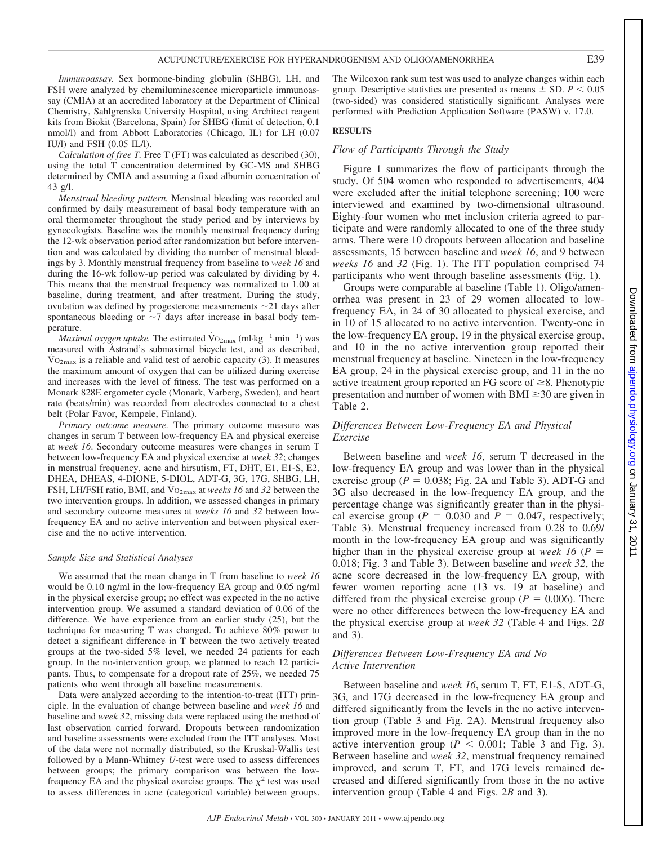*Immunoassay.* Sex hormone-binding globulin (SHBG), LH, and FSH were analyzed by chemiluminescence microparticle immunoassay (CMIA) at an accredited laboratory at the Department of Clinical Chemistry, Sahlgrenska University Hospital, using Architect reagent kits from Biokit (Barcelona, Spain) for SHBG (limit of detection, 0.1 nmol/l) and from Abbott Laboratories (Chicago, IL) for LH (0.07 IU/l) and FSH (0.05 IL/l).

*Calculation of free T.* Free T (FT) was calculated as described (30), using the total T concentration determined by GC-MS and SHBG determined by CMIA and assuming a fixed albumin concentration of 43 g/l.

*Menstrual bleeding pattern.* Menstrual bleeding was recorded and confirmed by daily measurement of basal body temperature with an oral thermometer throughout the study period and by interviews by gynecologists. Baseline was the monthly menstrual frequency during the 12-wk observation period after randomization but before intervention and was calculated by dividing the number of menstrual bleedings by 3. Monthly menstrual frequency from baseline to *week 16* and during the 16-wk follow-up period was calculated by dividing by 4. This means that the menstrual frequency was normalized to 1.00 at baseline, during treatment, and after treatment. During the study, ovulation was defined by progesterone measurements  $\sim$ 21 days after spontaneous bleeding or  $\sim$ 7 days after increase in basal body temperature.

*Maximal oxygen uptake.* The estimated  $\dot{V}_{O2max}$  (ml·kg<sup>-1</sup>·min<sup>-1</sup>) was measured with Åstrand's submaximal bicycle test, and as described,  $\rm\dot{V}o_{2max}$  is a reliable and valid test of aerobic capacity (3). It measures the maximum amount of oxygen that can be utilized during exercise and increases with the level of fitness. The test was performed on a Monark 828E ergometer cycle (Monark, Varberg, Sweden), and heart rate (beats/min) was recorded from electrodes connected to a chest belt (Polar Favor, Kempele, Finland).

*Primary outcome measure.* The primary outcome measure was changes in serum T between low-frequency EA and physical exercise at *week 16*. Secondary outcome measures were changes in serum T between low-frequency EA and physical exercise at *week 32*; changes in menstrual frequency, acne and hirsutism, FT, DHT, E1, E1-S, E2, DHEA, DHEAS, 4-DIONE, 5-DIOL, ADT-G, 3G, 17G, SHBG, LH, FSH, LH/FSH ratio, BMI, and V<sub>O2max</sub> at *weeks 16* and 32 between the two intervention groups. In addition, we assessed changes in primary and secondary outcome measures at *weeks 16* and *32* between lowfrequency EA and no active intervention and between physical exercise and the no active intervention.

#### *Sample Size and Statistical Analyses*

We assumed that the mean change in T from baseline to *week 16* would be 0.10 ng/ml in the low-frequency EA group and 0.05 ng/ml in the physical exercise group; no effect was expected in the no active intervention group. We assumed a standard deviation of 0.06 of the difference. We have experience from an earlier study (25), but the technique for measuring T was changed. To achieve 80% power to detect a significant difference in T between the two actively treated groups at the two-sided 5% level, we needed 24 patients for each group. In the no-intervention group, we planned to reach 12 participants. Thus, to compensate for a dropout rate of 25%, we needed 75 patients who went through all baseline measurements.

Data were analyzed according to the intention-to-treat (ITT) principle. In the evaluation of change between baseline and *week 16* and baseline and *week 32*, missing data were replaced using the method of last observation carried forward. Dropouts between randomization and baseline assessments were excluded from the ITT analyses. Most of the data were not normally distributed, so the Kruskal-Wallis test followed by a Mann-Whitney *U-*test were used to assess differences between groups; the primary comparison was between the lowfrequency EA and the physical exercise groups. The  $\chi^2$  test was used to assess differences in acne (categorical variable) between groups.

The Wilcoxon rank sum test was used to analyze changes within each group. Descriptive statistics are presented as means  $\pm$  SD.  $P < 0.05$ (two-sided) was considered statistically significant. Analyses were performed with Prediction Application Software (PASW) v. 17.0.

#### **RESULTS**

#### *Flow of Participants Through the Study*

Figure 1 summarizes the flow of participants through the study. Of 504 women who responded to advertisements, 404 were excluded after the initial telephone screening; 100 were interviewed and examined by two-dimensional ultrasound. Eighty-four women who met inclusion criteria agreed to participate and were randomly allocated to one of the three study arms. There were 10 dropouts between allocation and baseline assessments, 15 between baseline and *week 16*, and 9 between *weeks 16* and *32* (Fig. 1). The ITT population comprised 74 participants who went through baseline assessments (Fig. 1).

Groups were comparable at baseline (Table 1). Oligo/amenorrhea was present in 23 of 29 women allocated to lowfrequency EA, in 24 of 30 allocated to physical exercise, and in 10 of 15 allocated to no active intervention. Twenty-one in the low-frequency EA group, 19 in the physical exercise group, and 10 in the no active intervention group reported their menstrual frequency at baseline. Nineteen in the low-frequency EA group, 24 in the physical exercise group, and 11 in the no active treatment group reported an FG score of  $\geq 8$ . Phenotypic presentation and number of women with BMI  $\geq$ 30 are given in Table 2.

#### *Differences Between Low-Frequency EA and Physical Exercise*

Between baseline and *week 16*, serum T decreased in the low-frequency EA group and was lower than in the physical exercise group ( $P = 0.038$ ; Fig. 2A and Table 3). ADT-G and 3G also decreased in the low-frequency EA group, and the percentage change was significantly greater than in the physical exercise group ( $P = 0.030$  and  $P = 0.047$ , respectively; Table 3). Menstrual frequency increased from 0.28 to 0.69/ month in the low-frequency EA group and was significantly higher than in the physical exercise group at *week 16* (*P* 0.018; Fig. 3 and Table 3). Between baseline and *week 32*, the acne score decreased in the low-frequency EA group, with fewer women reporting acne (13 vs. 19 at baseline) and differed from the physical exercise group ( $P = 0.006$ ). There were no other differences between the low-frequency EA and the physical exercise group at *week 32* (Table 4 and Figs. 2*B* and 3).

#### *Differences Between Low-Frequency EA and No Active Intervention*

Between baseline and *week 16*, serum T, FT, E1-S, ADT-G, 3G, and 17G decreased in the low-frequency EA group and differed significantly from the levels in the no active intervention group (Table 3 and Fig. 2A). Menstrual frequency also improved more in the low-frequency EA group than in the no active intervention group ( $P < 0.001$ ; Table 3 and Fig. 3). Between baseline and *week 32*, menstrual frequency remained improved, and serum T, FT, and 17G levels remained decreased and differed significantly from those in the no active intervention group (Table 4 and Figs. 2*B* and 3).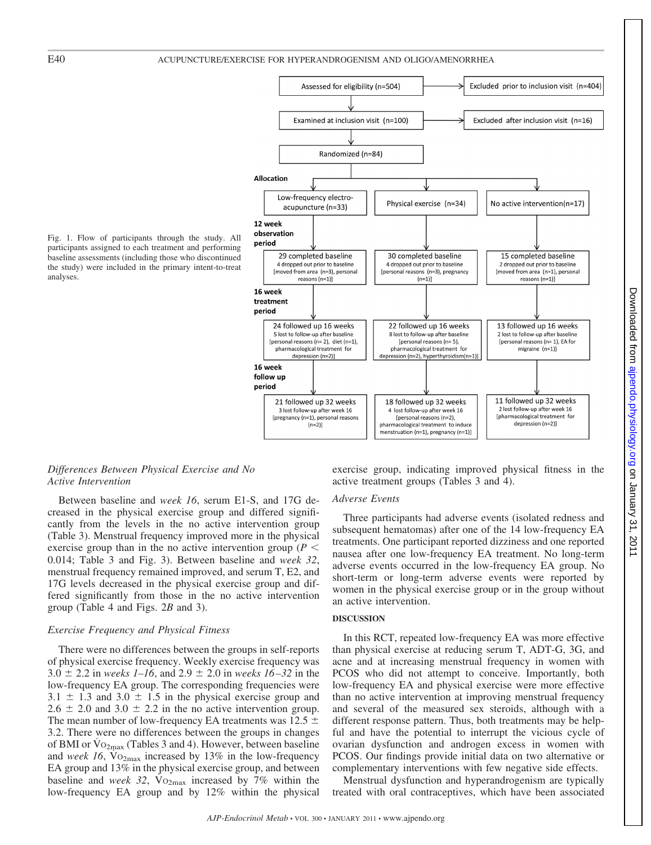#### E40 ACUPUNCTURE/EXERCISE FOR HYPERANDROGENISM AND OLIGO/AMENORRHEA





# *Differences Between Physical Exercise and No*

Between baseline and *week 16*, serum E1-S, and 17G decreased in the physical exercise group and differed significantly from the levels in the no active intervention group (Table 3). Menstrual frequency improved more in the physical exercise group than in the no active intervention group ( $P \leq$ 0.014; Table 3 and Fig. 3). Between baseline and *week 32*, menstrual frequency remained improved, and serum T, E2, and 17G levels decreased in the physical exercise group and differed significantly from those in the no active intervention

#### *Exercise Frequency and Physical Fitness*

group (Table 4 and Figs. 2*B* and 3).

*Active Intervention*

There were no differences between the groups in self-reports of physical exercise frequency. Weekly exercise frequency was 3.0 2.2 in *weeks 1–16*, and 2.9 2.0 in *weeks 16–32* in the low-frequency EA group. The corresponding frequencies were  $3.1 \pm 1.3$  and  $3.0 \pm 1.5$  in the physical exercise group and  $2.6 \pm 2.0$  and  $3.0 \pm 2.2$  in the no active intervention group. The mean number of low-frequency EA treatments was 12.5  $\pm$ 3.2. There were no differences between the groups in changes of BMI or  $\mathrm{Vo}_{2\text{max}}$  (Tables 3 and 4). However, between baseline and *week 16*,  $\rm{Vo_{2max}}$  increased by 13% in the low-frequency EA group and 13% in the physical exercise group, and between baseline and *week* 32,  $Vo_{2max}$  increased by 7% within the low-frequency EA group and by 12% within the physical exercise group, indicating improved physical fitness in the active treatment groups (Tables 3 and 4).

#### *Adverse Events*

Three participants had adverse events (isolated redness and subsequent hematomas) after one of the 14 low-frequency EA treatments. One participant reported dizziness and one reported nausea after one low-frequency EA treatment. No long-term adverse events occurred in the low-frequency EA group. No short-term or long-term adverse events were reported by women in the physical exercise group or in the group without an active intervention.

#### **DISCUSSION**

In this RCT, repeated low-frequency EA was more effective than physical exercise at reducing serum T, ADT-G, 3G, and acne and at increasing menstrual frequency in women with PCOS who did not attempt to conceive. Importantly, both low-frequency EA and physical exercise were more effective than no active intervention at improving menstrual frequency and several of the measured sex steroids, although with a different response pattern. Thus, both treatments may be helpful and have the potential to interrupt the vicious cycle of ovarian dysfunction and androgen excess in women with PCOS. Our findings provide initial data on two alternative or complementary interventions with few negative side effects.

Menstrual dysfunction and hyperandrogenism are typically treated with oral contraceptives, which have been associated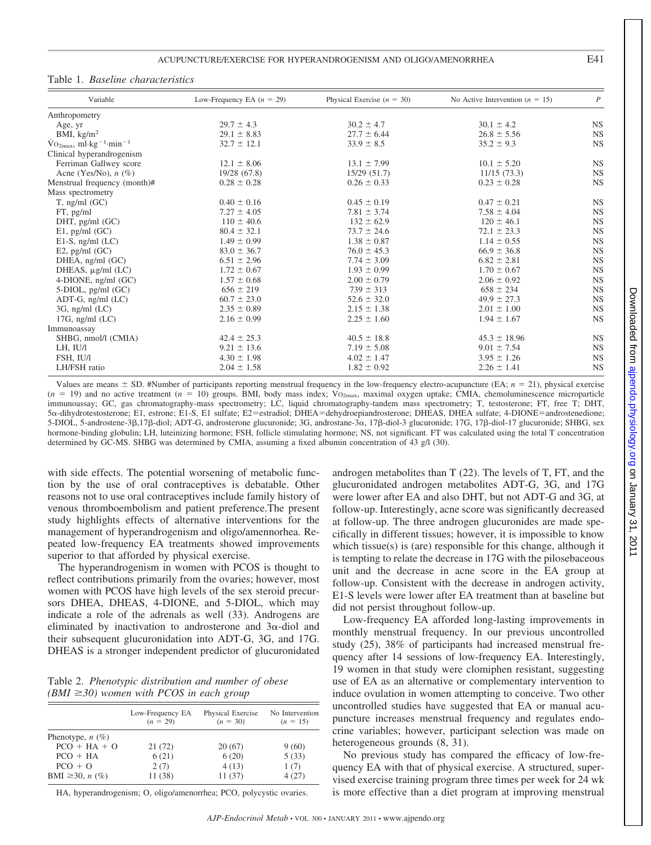#### Table 1. *Baseline characteristics*

| Variable                                                    | Low-Frequency EA $(n = 29)$ | Physical Exercise $(n = 30)$ | No Active Intervention ( $n = 15$ ) | $\boldsymbol{P}$ |  |
|-------------------------------------------------------------|-----------------------------|------------------------------|-------------------------------------|------------------|--|
| Anthropometry                                               |                             |                              |                                     |                  |  |
| Age, yr                                                     | $29.7 \pm 4.3$              | $30.2 \pm 4.7$               | $30.1 \pm 4.2$                      | NS.              |  |
| BMI, $\text{kg/m}^2$                                        | $29.1 \pm 8.83$             | $27.7 \pm 6.44$              | $26.8 \pm 5.56$                     | <b>NS</b>        |  |
| $\rm V_{O_{2max}}$ , ml·kg <sup>-1</sup> ·min <sup>-1</sup> | $32.7 \pm 12.1$             | $33.9 \pm 8.5$               | $35.2 \pm 9.3$                      | <b>NS</b>        |  |
| Clinical hyperandrogenism                                   |                             |                              |                                     |                  |  |
| Ferriman Gallwey score                                      | $12.1 \pm 8.06$             | $13.1 \pm 7.99$              | $10.1 \pm 5.20$                     | <b>NS</b>        |  |
| Acne (Yes/No), $n$ (%)                                      | 19/28 (67.8)                | 15/29(51.7)                  | 11/15(73.3)                         | <b>NS</b>        |  |
| Menstrual frequency (month)#                                | $0.28 \pm 0.28$             | $0.26 \pm 0.33$              | $0.23 \pm 0.28$                     | <b>NS</b>        |  |
| Mass spectrometry                                           |                             |                              |                                     |                  |  |
| $T$ , ng/ml $(GC)$                                          | $0.40 \pm 0.16$             | $0.45 \pm 0.19$              | $0.47 \pm 0.21$                     | <b>NS</b>        |  |
| FT, pg/ml                                                   | $7.27 \pm 4.05$             | $7.81 \pm 3.74$              | $7.58 \pm 4.04$                     | <b>NS</b>        |  |
| DHT, $pg/ml$ (GC)                                           | $110 \pm 40.6$              | $132 \pm 62.9$               | $120 \pm 46.1$                      | <b>NS</b>        |  |
| $E1$ , pg/ml $(GC)$                                         | $80.4 \pm 32.1$             | $73.7 \pm 24.6$              | $72.1 \pm 23.3$                     | <b>NS</b>        |  |
| $E1-S$ , ng/ml $(LC)$                                       | $1.49 \pm 0.99$             | $1.38 \pm 0.87$              | $1.14 \pm 0.55$                     | <b>NS</b>        |  |
| $E2$ , pg/ml $(GC)$                                         | $83.0 \pm 36.7$             | $76.0 \pm 45.3$              | $66.9 \pm 36.8$                     | <b>NS</b>        |  |
| DHEA, $ng/ml$ (GC)                                          | $6.51 \pm 2.96$             | $7.74 \pm 3.09$              | $6.82 \pm 2.81$                     | <b>NS</b>        |  |
| DHEAS, $\mu$ g/ml (LC)                                      | $1.72 \pm 0.67$             | $1.93 \pm 0.99$              | $1.70 \pm 0.67$                     | <b>NS</b>        |  |
| 4-DIONE, ng/ml (GC)                                         | $1.57 \pm 0.68$             | $2.00 \pm 0.79$              | $2.06 \pm 0.92$                     | <b>NS</b>        |  |
| 5-DIOL, pg/ml (GC)                                          | $656 \pm 219$               | $739 \pm 313$                | $658 \pm 234$                       | <b>NS</b>        |  |
| ADT-G, $ng/ml$ (LC)                                         | $60.7 \pm 23.0$             | $52.6 \pm 32.0$              | $49.9 \pm 27.3$                     | <b>NS</b>        |  |
| $3G$ , ng/ml $(LC)$                                         | $2.35 \pm 0.89$             | $2.15 \pm 1.38$              | $2.01 \pm 1.00$                     | <b>NS</b>        |  |
| 17G, $ng/ml$ (LC)                                           | $2.16 \pm 0.99$             | $2.25 \pm 1.60$              | $1.94 \pm 1.67$                     | <b>NS</b>        |  |
| Immunoassay                                                 |                             |                              |                                     |                  |  |
| SHBG, nmol/l (CMIA)                                         | $42.4 \pm 25.3$             | $40.5 \pm 18.8$              | $45.3 \pm 18.96$                    | <b>NS</b>        |  |
| LH, IU/I                                                    | $9.21 \pm 13.6$             | $7.19 \pm 5.08$              | $9.01 \pm 7.54$                     | <b>NS</b>        |  |
| FSH, IU/I                                                   | $4.30 \pm 1.98$             | $4.02 \pm 1.47$              | $3.95 \pm 1.26$                     | <b>NS</b>        |  |
| LH/FSH ratio                                                | $2.04 \pm 1.58$             | $1.82 \pm 0.92$              | $2.26 \pm 1.41$                     | <b>NS</b>        |  |

Values are means  $\pm$  SD. #Number of participants reporting menstrual frequency in the low-frequency electro-acupuncture (EA;  $n = 21$ ), physical exercise  $(n = 19)$  and no active treatment  $(n = 10)$  groups. BMI, body mass index; Vo<sub>2max</sub>, maximal oxygen uptake; CMIA, chemoluminescence microparticle immunoassay; GC, gas chromatography-mass spectrometry; LC, liquid chromatography-tandem mass spectrometry; T, testosterone; FT, free T; DHT, 5a-dihydrotestosterone; E1, estrone; E1-S, E1 sulfate; E2=estradiol; DHEA=dehydroepiandrosterone; DHEAS, DHEA sulfate; 4-DIONE=androstenedione; 5-DIOL, 5-androstene-3β,17β-diol; ADT-G, androsterone glucuronide; 3G, androstane-3α, 17β-diol-3 glucuronide; 17G, 17β-diol-17 glucuronide; SHBG, sex hormone-binding globulin; LH, luteinizing hormone; FSH, follicle stimulating hormone; NS, not significant. FT was calculated using the total T concentration determined by GC-MS. SHBG was determined by CMIA, assuming a fixed albumin concentration of 43 g/l (30).

with side effects. The potential worsening of metabolic function by the use of oral contraceptives is debatable. Other reasons not to use oral contraceptives include family history of venous thromboembolism and patient preference.The present study highlights effects of alternative interventions for the management of hyperandrogenism and oligo/amennorhea. Repeated low-frequency EA treatments showed improvements superior to that afforded by physical exercise.

The hyperandrogenism in women with PCOS is thought to reflect contributions primarily from the ovaries; however, most women with PCOS have high levels of the sex steroid precursors DHEA, DHEAS, 4-DIONE, and 5-DIOL, which may indicate a role of the adrenals as well (33). Androgens are eliminated by inactivation to androsterone and  $3\alpha$ -diol and their subsequent glucuronidation into ADT-G, 3G, and 17G. DHEAS is a stronger independent predictor of glucuronidated

Table 2. *Phenotypic distribution and number of obese (BMI 30) women with PCOS in each group*

|                       | Low-Frequency EA<br>$(n = 29)$ | Physical Exercise<br>$(n = 30)$ | No Intervention<br>$(n = 15)$ |
|-----------------------|--------------------------------|---------------------------------|-------------------------------|
| Phenotype, $n$ (%)    |                                |                                 |                               |
| $PCO + HA + O$        | 21(72)                         | 20(67)                          | 9(60)                         |
| $PCO + HA$            | 6(21)                          | 6(20)                           | 5(33)                         |
| $PCO + O$             | 2(7)                           | 4(13)                           | 1(7)                          |
| BMI $\geq 30$ , n (%) | 11 (38)                        | 11(37)                          | 4(27)                         |

HA, hyperandrogenism; O, oligo/amenorrhea; PCO, polycystic ovaries.

androgen metabolites than T (22). The levels of T, FT, and the glucuronidated androgen metabolites ADT-G, 3G, and 17G were lower after EA and also DHT, but not ADT-G and 3G, at follow-up. Interestingly, acne score was significantly decreased at follow-up. The three androgen glucuronides are made specifically in different tissues; however, it is impossible to know which tissue(s) is (are) responsible for this change, although it is tempting to relate the decrease in 17G with the pilosebaceous unit and the decrease in acne score in the EA group at follow-up. Consistent with the decrease in androgen activity, E1-S levels were lower after EA treatment than at baseline but did not persist throughout follow-up.

Low-frequency EA afforded long-lasting improvements in monthly menstrual frequency. In our previous uncontrolled study (25), 38% of participants had increased menstrual frequency after 14 sessions of low-frequency EA. Interestingly, 19 women in that study were clomiphen resistant, suggesting use of EA as an alternative or complementary intervention to induce ovulation in women attempting to conceive. Two other uncontrolled studies have suggested that EA or manual acupuncture increases menstrual frequency and regulates endocrine variables; however, participant selection was made on heterogeneous grounds (8, 31).

No previous study has compared the efficacy of low-frequency EA with that of physical exercise. A structured, supervised exercise training program three times per week for 24 wk is more effective than a diet program at improving menstrual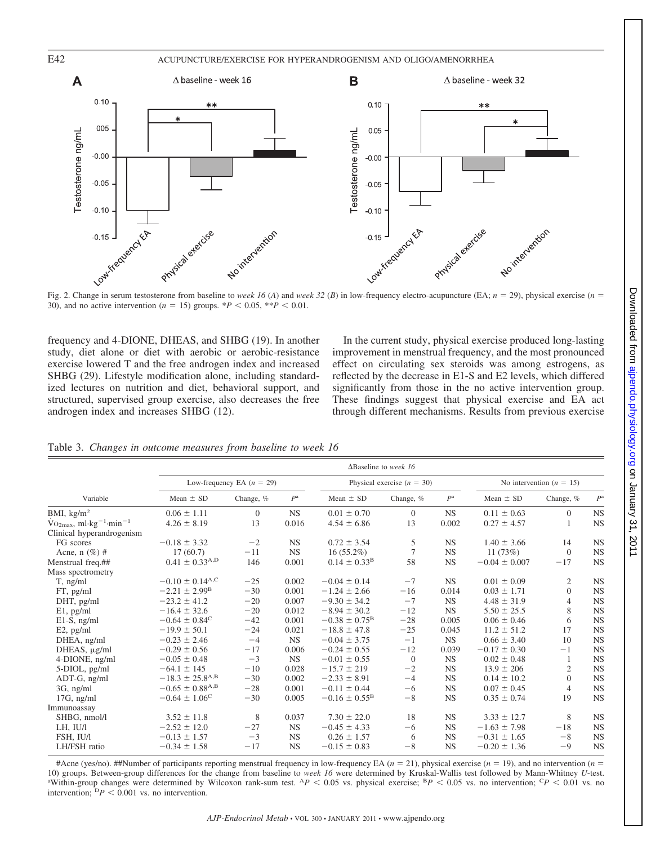

30), and no active intervention ( $n = 15$ ) groups. \* $P < 0.05$ , \*\* $P < 0.01$ .

frequency and 4-DIONE, DHEAS, and SHBG (19). In another study, diet alone or diet with aerobic or aerobic-resistance exercise lowered T and the free androgen index and increased SHBG (29). Lifestyle modification alone, including standardized lectures on nutrition and diet, behavioral support, and structured, supervised group exercise, also decreases the free androgen index and increases SHBG (12).

In the current study, physical exercise produced long-lasting improvement in menstrual frequency, and the most pronounced effect on circulating sex steroids was among estrogens, as reflected by the decrease in E1-S and E2 levels, which differed significantly from those in the no active intervention group. These findings suggest that physical exercise and EA act through different mechanisms. Results from previous exercise

Table 3. *Changes in outcome measures from baseline to week 16*

|                                                             | $\Delta$ Baseline to week 16    |                |             |                              |                |             |                            |                |             |
|-------------------------------------------------------------|---------------------------------|----------------|-------------|------------------------------|----------------|-------------|----------------------------|----------------|-------------|
|                                                             | Low-frequency EA $(n = 29)$     |                |             | Physical exercise $(n = 30)$ |                |             | No intervention $(n = 15)$ |                |             |
| Variable                                                    | Mean $\pm$ SD                   | Change, %      | $P^{\rm a}$ | Mean $\pm$ SD                | Change, %      | $P^{\rm a}$ | Mean $\pm$ SD              | Change, %      | $P^{\rm a}$ |
| BMI, $\text{kg/m}^2$                                        | $0.06 \pm 1.11$                 | $\overline{0}$ | <b>NS</b>   | $0.01 \pm 0.70$              | $\overline{0}$ | <b>NS</b>   | $0.11 \pm 0.63$            | $\overline{0}$ | <b>NS</b>   |
| $\rm V_{O_{2max}}$ , ml·kg <sup>-1</sup> ·min <sup>-1</sup> | $4.26 \pm 8.19$                 | 13             | 0.016       | $4.54 \pm 6.86$              | 13             | 0.002       | $0.27 \pm 4.57$            | 1              | <b>NS</b>   |
| Clinical hyperandrogenism                                   |                                 |                |             |                              |                |             |                            |                |             |
| FG scores                                                   | $-0.18 \pm 3.32$                | $-2$           | <b>NS</b>   | $0.72 \pm 3.54$              | 5              | <b>NS</b>   | $1.40 \pm 3.66$            | 14             | <b>NS</b>   |
| Acne, $n$ (%) #                                             | 17(60.7)                        | $-11$          | <b>NS</b>   | $16(55.2\%)$                 | 7              | <b>NS</b>   | 11(73%)                    | $\Omega$       | <b>NS</b>   |
| Menstrual freq.##                                           | $0.41 \pm 0.33$ <sup>A,D</sup>  | 146            | 0.001       | $0.14 \pm 0.33^{\rm B}$      | 58             | <b>NS</b>   | $-0.04 \pm 0.007$          | $-17$          | <b>NS</b>   |
| Mass spectrometry                                           |                                 |                |             |                              |                |             |                            |                |             |
| $T$ , ng/ml                                                 | $-0.10 \pm 0.14$ <sup>A,C</sup> | $-25$          | 0.002       | $-0.04 \pm 0.14$             | $-7$           | <b>NS</b>   | $0.01 \pm 0.09$            | 2              | <b>NS</b>   |
| FT, pg/ml                                                   | $-2.21 \pm 2.99^{\rm B}$        | $-30$          | 0.001       | $-1.24 \pm 2.66$             | $-16$          | 0.014       | $0.03 \pm 1.71$            | $\Omega$       | <b>NS</b>   |
| DHT, pg/ml                                                  | $-23.2 \pm 41.2$                | $-20$          | 0.007       | $-9.30 \pm 34.2$             | $-7$           | <b>NS</b>   | $4.48 \pm 31.9$            | $\overline{4}$ | <b>NS</b>   |
| $E1$ , pg/ml                                                | $-16.4 \pm 32.6$                | $-20$          | 0.012       | $-8.94 \pm 30.2$             | $-12$          | <b>NS</b>   | $5.50 \pm 25.5$            | 8              | <b>NS</b>   |
| $E1-S$ , ng/ml                                              | $-0.64 \pm 0.84^{\circ}$        | $-42$          | 0.001       | $-0.38 \pm 0.75^{\rm B}$     | $-28$          | 0.005       | $0.06 \pm 0.46$            | 6              | <b>NS</b>   |
| $E2$ , pg/ml                                                | $-19.9 \pm 50.1$                | $-24$          | 0.021       | $-18.8 \pm 47.8$             | $-25$          | 0.045       | $11.2 \pm 51.2$            | 17             | <b>NS</b>   |
| DHEA, ng/ml                                                 | $-0.23 \pm 2.46$                | $-4$           | <b>NS</b>   | $-0.04 \pm 3.75$             | $-1$           | <b>NS</b>   | $0.66 \pm 3.40$            | 10             | <b>NS</b>   |
| DHEAS, µg/ml                                                | $-0.29 \pm 0.56$                | $-17$          | 0.006       | $-0.24 \pm 0.55$             | $-12$          | 0.039       | $-0.17 \pm 0.30$           | $-1$           | <b>NS</b>   |
| 4-DIONE, ng/ml                                              | $-0.05 \pm 0.48$                | $-3$           | <b>NS</b>   | $-0.01 \pm 0.55$             | $\overline{0}$ | <b>NS</b>   | $0.02 \pm 0.48$            | -1             | <b>NS</b>   |
| 5-DIOL, pg/ml                                               | $-64.1 \pm 145$                 | $-10$          | 0.028       | $-15.7 \pm 219$              | $-2$           | <b>NS</b>   | $13.9 \pm 206$             | $\overline{2}$ | <b>NS</b>   |
| ADT-G, ng/ml                                                | $-18.3 \pm 25.8$ <sup>A,B</sup> | $-30$          | 0.002       | $-2.33 \pm 8.91$             | $-4$           | <b>NS</b>   | $0.14 \pm 10.2$            | $\Omega$       | <b>NS</b>   |
| $3G$ , ng/ml                                                | $-0.65 \pm 0.88$ <sup>A,B</sup> | $-28$          | 0.001       | $-0.11 \pm 0.44$             | $-6$           | <b>NS</b>   | $0.07 \pm 0.45$            | $\overline{4}$ | <b>NS</b>   |
| $17G$ , ng/ml                                               | $-0.64 \pm 1.06^{\circ}$        | $-30$          | 0.005       | $-0.16 \pm 0.55^{\rm B}$     | $-8$           | <b>NS</b>   | $0.35 \pm 0.74$            | 19             | <b>NS</b>   |
| Immunoassay                                                 |                                 |                |             |                              |                |             |                            |                |             |
| SHBG, nmol/l                                                | $3.52 \pm 11.8$                 | 8              | 0.037       | $7.30 \pm 22.0$              | 18             | <b>NS</b>   | $3.33 \pm 12.7$            | 8              | <b>NS</b>   |
| LH, IU/l                                                    | $-2.52 \pm 12.0$                | $-27$          | <b>NS</b>   | $-0.45 \pm 4.33$             | $-6$           | <b>NS</b>   | $-1.63 \pm 7.98$           | $-18$          | <b>NS</b>   |
| FSH, IU/I                                                   | $-0.13 \pm 1.57$                | $-3$           | <b>NS</b>   | $0.26 \pm 1.57$              | 6              | <b>NS</b>   | $-0.31 \pm 1.65$           | $-8$           | <b>NS</b>   |
| LH/FSH ratio                                                | $-0.34 \pm 1.58$                | $-17$          | <b>NS</b>   | $-0.15 \pm 0.83$             | $-8$           | <b>NS</b>   | $-0.20 \pm 1.36$           | $-9$           | <b>NS</b>   |

#Acne (yes/no). ##Number of participants reporting menstrual frequency in low-frequency EA  $(n = 21)$ , physical exercise  $(n = 19)$ , and no intervention  $(n = 19)$ 10) groups. Between-group differences for the change from baseline to *week 16* were determined by Kruskal-Wallis test followed by Mann-Whitney *<sup>U</sup>*-test. <sup>a</sup> <sup>a</sup>Within-group changes were determined by Wilcoxon rank-sum test.  $^{AP}$  < 0.05 vs. physical exercise;  $^{BP}$  < 0.05 vs. no intervention;  $^{CP}$  < 0.01 vs. no intervention;  $\overline{P}P < 0.001$  vs. no intervention.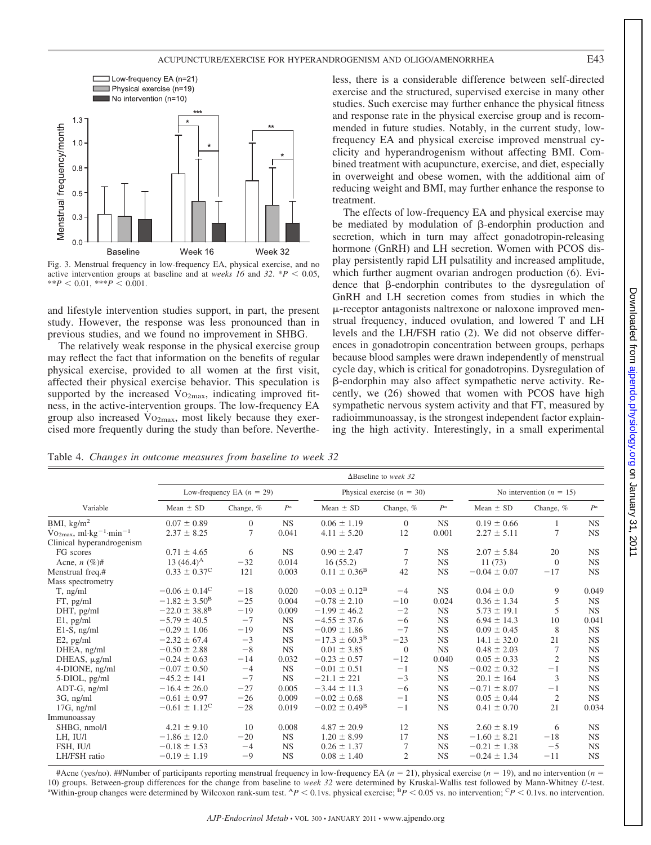

Fig. 3. Menstrual frequency in low-frequency EA, physical exercise, and no active intervention groups at baseline and at *weeks 16* and 32.  $*P < 0.05$ ,  $*$ *\*P*  $\leq$  0.01, \*\*\**P*  $\leq$  0.001.

and lifestyle intervention studies support, in part, the present study. However, the response was less pronounced than in previous studies, and we found no improvement in SHBG.

The relatively weak response in the physical exercise group may reflect the fact that information on the benefits of regular physical exercise, provided to all women at the first visit, affected their physical exercise behavior. This speculation is supported by the increased  $Vo_{2max}$ , indicating improved fitness, in the active-intervention groups. The low-frequency EA group also increased  $\overline{V}o_{2\text{max}}$ , most likely because they exercised more frequently during the study than before. Nevertheless, there is a considerable difference between self-directed exercise and the structured, supervised exercise in many other studies. Such exercise may further enhance the physical fitness and response rate in the physical exercise group and is recommended in future studies. Notably, in the current study, lowfrequency EA and physical exercise improved menstrual cyclicity and hyperandrogenism without affecting BMI. Combined treatment with acupuncture, exercise, and diet, especially in overweight and obese women, with the additional aim of reducing weight and BMI, may further enhance the response to treatment.

The effects of low-frequency EA and physical exercise may be mediated by modulation of  $\beta$ -endorphin production and secretion, which in turn may affect gonadotropin-releasing hormone (GnRH) and LH secretion. Women with PCOS display persistently rapid LH pulsatility and increased amplitude, which further augment ovarian androgen production (6). Evidence that  $\beta$ -endorphin contributes to the dysregulation of GnRH and LH secretion comes from studies in which the -receptor antagonists naltrexone or naloxone improved menstrual frequency, induced ovulation, and lowered T and LH levels and the LH/FSH ratio (2). We did not observe differences in gonadotropin concentration between groups, perhaps because blood samples were drawn independently of menstrual cycle day, which is critical for gonadotropins. Dysregulation of -endorphin may also affect sympathetic nerve activity. Recently, we (26) showed that women with PCOS have high sympathetic nervous system activity and that FT, measured by radioimmunoassay, is the strongest independent factor explaining the high activity. Interestingly, in a small experimental

Table 4. *Changes in outcome measures from baseline to week 32*

|                                                                    |                               |           |             |                              | $\Delta$ Baseline to week 32 |             |                            |                |             |
|--------------------------------------------------------------------|-------------------------------|-----------|-------------|------------------------------|------------------------------|-------------|----------------------------|----------------|-------------|
|                                                                    | Low-frequency EA $(n = 29)$   |           |             | Physical exercise $(n = 30)$ |                              |             | No intervention $(n = 15)$ |                |             |
| Variable                                                           | Mean $\pm$ SD                 | Change, % | $P^{\rm a}$ | Mean $\pm$ SD                | Change, %                    | $P^{\rm a}$ | Mean $\pm$ SD              | Change, %      | $P^{\rm a}$ |
| BMI, $kg/m2$                                                       | $0.07 \pm 0.89$               | $\Omega$  | <b>NS</b>   | $0.06 \pm 1.19$              | $\overline{0}$               | <b>NS</b>   | $0.19 \pm 0.66$            |                | <b>NS</b>   |
| $\text{Vo}_{2\text{max}}$ , ml·kg <sup>-1</sup> ·min <sup>-1</sup> | $2.37 \pm 8.25$               | 7         | 0.041       | $4.11 \pm 5.20$              | 12                           | 0.001       | $2.27 \pm 5.11$            | 7              | <b>NS</b>   |
| Clinical hyperandrogenism                                          |                               |           |             |                              |                              |             |                            |                |             |
| FG scores                                                          | $0.71 \pm 4.65$               | 6         | <b>NS</b>   | $0.90 \pm 2.47$              | 7                            | <b>NS</b>   | $2.07 \pm 5.84$            | 20             | <b>NS</b>   |
| Acne, $n$ (%)#                                                     | 13 $(46.4)^A$                 | $-32$     | 0.014       | 16(55.2)                     | 7                            | <b>NS</b>   | 11(73)                     | $\theta$       | <b>NS</b>   |
| Menstrual freq.#                                                   | $0.33 \pm 0.37^{\circ}$       | 121       | 0.003       | $0.11 \pm 0.36^{\rm B}$      | 42                           | <b>NS</b>   | $-0.04 \pm 0.07$           | $-17$          | <b>NS</b>   |
| Mass spectrometry                                                  |                               |           |             |                              |                              |             |                            |                |             |
| $T$ , ng/ml                                                        | $-0.06 \pm 0.14^{\circ}$      | $-18$     | 0.020       | $-0.03 \pm 0.12^{\rm B}$     | $-4$                         | <b>NS</b>   | $0.04 \pm 0.0$             | 9              | 0.049       |
| FT, pg/ml                                                          | $-1.82 \pm 3.50^{\circ}$      | $-25$     | 0.004       | $-0.78 \pm 2.10$             | $-10$                        | 0.024       | $0.36 \pm 1.34$            | 5              | <b>NS</b>   |
| $DHT$ , $pg/ml$                                                    | $-22.0 \pm 38.8$ <sup>B</sup> | $-19$     | 0.009       | $-1.99 \pm 46.2$             | $-2$                         | <b>NS</b>   | $5.73 \pm 19.1$            | 5              | <b>NS</b>   |
| $E1$ , pg/ml                                                       | $-5.79 \pm 40.5$              | $-7$      | NS.         | $-4.55 \pm 37.6$             | $-6$                         | <b>NS</b>   | $6.94 \pm 14.3$            | 10             | 0.041       |
| $E1-S$ , ng/ml                                                     | $-0.29 \pm 1.06$              | $-19$     | <b>NS</b>   | $-0.09 \pm 1.86$             | $-7$                         | <b>NS</b>   | $0.09 \pm 0.45$            | 8              | <b>NS</b>   |
| $E2$ , pg/ml                                                       | $-2.32 \pm 67.4$              | $-3$      | <b>NS</b>   | $-17.3 \pm 60.3^{\circ}$     | $-23$                        | <b>NS</b>   | $14.1 \pm 32.0$            | 21             | <b>NS</b>   |
| DHEA, ng/ml                                                        | $-0.50 \pm 2.88$              | $-8$      | <b>NS</b>   | $0.01 \pm 3.85$              | $\overline{0}$               | <b>NS</b>   | $0.48 \pm 2.03$            | 7              | <b>NS</b>   |
| DHEAS, µg/ml                                                       | $-0.24 \pm 0.63$              | $-14$     | 0.032       | $-0.23 \pm 0.57$             | $-12$                        | 0.040       | $0.05 \pm 0.33$            | $\mathfrak{2}$ | <b>NS</b>   |
| 4-DIONE, ng/ml                                                     | $-0.07 \pm 0.50$              | $-4$      | NS.         | $-0.01 \pm 0.51$             | $-1$                         | <b>NS</b>   | $-0.02 \pm 0.32$           | $-1$           | <b>NS</b>   |
| 5-DIOL, pg/ml                                                      | $-45.2 \pm 141$               | $-7$      | <b>NS</b>   | $-21.1 \pm 221$              | $-3$                         | <b>NS</b>   | $20.1 \pm 164$             | 3              | <b>NS</b>   |
| $ADT-G$ , ng/ml                                                    | $-16.4 \pm 26.0$              | $-27$     | 0.005       | $-3.44 \pm 11.3$             | $-6$                         | <b>NS</b>   | $-0.71 \pm 8.07$           | $-1$           | <b>NS</b>   |
| $3G$ , ng/ml                                                       | $-0.61 \pm 0.97$              | $-26$     | 0.009       | $-0.02 \pm 0.68$             | $-1$                         | <b>NS</b>   | $0.05 \pm 0.44$            | $\overline{2}$ | <b>NS</b>   |
| $17G$ , ng/ml                                                      | $-0.61 \pm 1.12^{\circ}$      | $-28$     | 0.019       | $-0.02 \pm 0.49^{\rm B}$     | $-1$                         | <b>NS</b>   | $0.41 \pm 0.70$            | 21             | 0.034       |
| Immunoassay                                                        |                               |           |             |                              |                              |             |                            |                |             |
| SHBG, nmol/l                                                       | $4.21 \pm 9.10$               | 10        | 0.008       | $4.87 \pm 20.9$              | 12                           | <b>NS</b>   | $2.60 \pm 8.19$            | 6              | <b>NS</b>   |
| LH, IU/l                                                           | $-1.86 \pm 12.0$              | $-20$     | <b>NS</b>   | $1.20 \pm 8.99$              | 17                           | <b>NS</b>   | $-1.60 \pm 8.21$           | $-18$          | <b>NS</b>   |
| FSH, IU/l                                                          | $-0.18 \pm 1.53$              | $-4$      | <b>NS</b>   | $0.26 \pm 1.37$              | 7                            | <b>NS</b>   | $-0.21 \pm 1.38$           | $-5$           | <b>NS</b>   |
| LH/FSH ratio                                                       | $-0.19 \pm 1.19$              | $-9$      | <b>NS</b>   | $0.08 \pm 1.40$              | $\overline{2}$               | <b>NS</b>   | $-0.24 \pm 1.34$           | $-11$          | <b>NS</b>   |

#Acne (yes/no). ##Number of participants reporting menstrual frequency in low-frequency EA ( $n = 21$ ), physical exercise ( $n = 19$ ), and no intervention ( $n = 19$ ) 10) groups. Between-group differences for the change from baseline to *week 32* were determined by Kruskal-Wallis test followed by Mann-Whitney *U*-test.<br>"Within-group changes were determined by Wilcoxon rank-sum test.  ${}$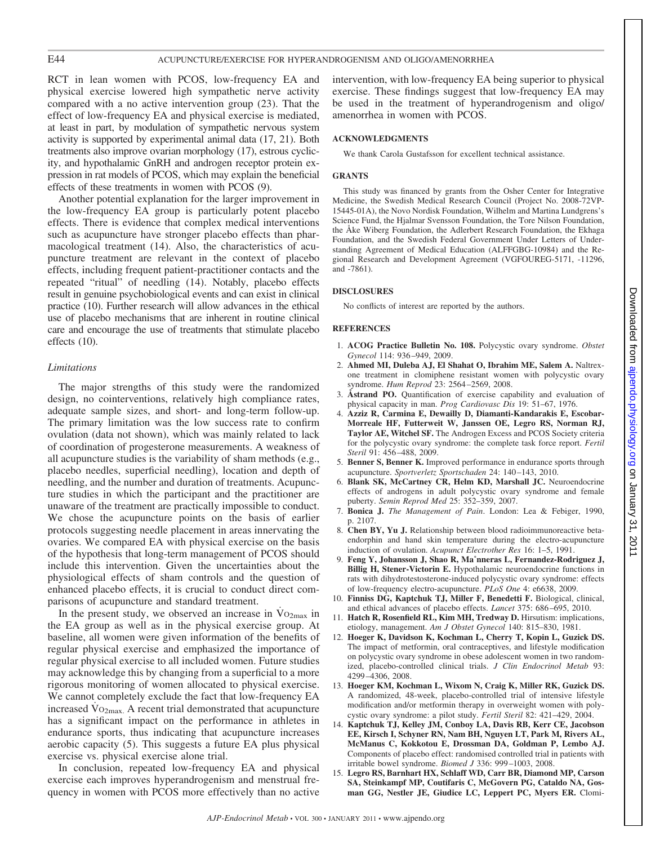RCT in lean women with PCOS, low-frequency EA and physical exercise lowered high sympathetic nerve activity compared with a no active intervention group (23). That the effect of low-frequency EA and physical exercise is mediated, at least in part, by modulation of sympathetic nervous system activity is supported by experimental animal data (17, 21). Both treatments also improve ovarian morphology (17), estrous cyclicity, and hypothalamic GnRH and androgen receptor protein expression in rat models of PCOS, which may explain the beneficial effects of these treatments in women with PCOS (9).

Another potential explanation for the larger improvement in the low-frequency EA group is particularly potent placebo effects. There is evidence that complex medical interventions such as acupuncture have stronger placebo effects than pharmacological treatment (14). Also, the characteristics of acupuncture treatment are relevant in the context of placebo effects, including frequent patient-practitioner contacts and the repeated "ritual" of needling (14). Notably, placebo effects result in genuine psychobiological events and can exist in clinical practice (10). Further research will allow advances in the ethical use of placebo mechanisms that are inherent in routine clinical care and encourage the use of treatments that stimulate placebo effects (10).

#### *Limitations*

The major strengths of this study were the randomized design, no cointerventions, relatively high compliance rates, adequate sample sizes, and short- and long-term follow-up. The primary limitation was the low success rate to confirm ovulation (data not shown), which was mainly related to lack of coordination of progesterone measurements. A weakness of all acupuncture studies is the variability of sham methods (e.g., placebo needles, superficial needling), location and depth of needling, and the number and duration of treatments. Acupuncture studies in which the participant and the practitioner are unaware of the treatment are practically impossible to conduct. We chose the acupuncture points on the basis of earlier protocols suggesting needle placement in areas innervating the ovaries. We compared EA with physical exercise on the basis of the hypothesis that long-term management of PCOS should include this intervention. Given the uncertainties about the physiological effects of sham controls and the question of enhanced placebo effects, it is crucial to conduct direct comparisons of acupuncture and standard treatment.

In the present study, we observed an increase in  $Vo_{2max}$  in the EA group as well as in the physical exercise group. At baseline, all women were given information of the benefits of regular physical exercise and emphasized the importance of regular physical exercise to all included women. Future studies may acknowledge this by changing from a superficial to a more rigorous monitoring of women allocated to physical exercise. We cannot completely exclude the fact that low-frequency EA increased  $Vo_{2max}$ . A recent trial demonstrated that acupuncture has a significant impact on the performance in athletes in endurance sports, thus indicating that acupuncture increases aerobic capacity (5). This suggests a future EA plus physical exercise vs. physical exercise alone trial.

In conclusion, repeated low-frequency EA and physical exercise each improves hyperandrogenism and menstrual frequency in women with PCOS more effectively than no active intervention, with low-frequency EA being superior to physical exercise. These findings suggest that low-frequency EA may be used in the treatment of hyperandrogenism and oligo/ amenorrhea in women with PCOS.

#### **ACKNOWLEDGMENTS**

We thank Carola Gustafsson for excellent technical assistance.

#### **GRANTS**

This study was financed by grants from the Osher Center for Integrative Medicine, the Swedish Medical Research Council (Project No. 2008-72VP-15445-01A), the Novo Nordisk Foundation, Wilhelm and Martina Lundgrens's Science Fund, the Hjalmar Svensson Foundation, the Tore Nilson Foundation, the Åke Wiberg Foundation, the Adlerbert Research Foundation, the Ekhaga Foundation, and the Swedish Federal Government Under Letters of Understanding Agreement of Medical Education (ALFFGBG-10984) and the Regional Research and Development Agreement (VGFOUREG-5171, -11296, and -7861).

#### **DISCLOSURES**

No conflicts of interest are reported by the authors.

#### **REFERENCES**

- 1. **ACOG Practice Bulletin No. 108.** Polycystic ovary syndrome. *Obstet Gynecol* 114: 936 –949, 2009.
- 2. **Ahmed MI, Duleba AJ, El Shahat O, Ibrahim ME, Salem A.** Naltrexone treatment in clomiphene resistant women with polycystic ovary syndrome. *Hum Reprod* 23: 2564 –2569, 2008.
- 3. **Åstrand PO.** Quantification of exercise capability and evaluation of physical capacity in man. *Prog Cardiovasc Dis* 19: 51–67, 1976.
- 4. **Azziz R, Carmina E, Dewailly D, Diamanti-Kandarakis E, Escobar-Morreale HF, Futterweit W, Janssen OE, Legro RS, Norman RJ, Taylor AE, Witchel SF.** The Androgen Excess and PCOS Society criteria for the polycystic ovary syndrome: the complete task force report. *Fertil Steril* 91: 456 –488, 2009.
- 5. **Benner S, Benner K.** Improved performance in endurance sports through acupuncture. *Sportverletz Sportschaden* 24: 140 –143, 2010.
- 6. **Blank SK, McCartney CR, Helm KD, Marshall JC.** Neuroendocrine effects of androgens in adult polycystic ovary syndrome and female puberty. *Semin Reprod Med* 25: 352–359, 2007.
- 7. **Bonica J.** *The Management of Pain*. London: Lea & Febiger, 1990, p. 2107.
- 8. **Chen BY, Yu J.** Relationship between blood radioimmunoreactive betaendorphin and hand skin temperature during the electro-acupuncture induction of ovulation. *Acupunct Electrother Res* 16: 1–5, 1991.
- 9. **Feng Y, Johansson J, Shao R, Ma˚nneras L, Fernandez-Rodriguez J, Billig H, Stener-Victorin E.** Hypothalamic neuroendocrine functions in rats with dihydrotestosterone-induced polycystic ovary syndrome: effects of low-frequency electro-acupuncture. *PLoS One* 4: e6638, 2009.
- 10. **Finniss DG, Kaptchuk TJ, Miller F, Benedetti F.** Biological, clinical, and ethical advances of placebo effects. *Lancet* 375: 686 –695, 2010.
- 11. **Hatch R, Rosenfield RL, Kim MH, Tredway D.** Hirsutism: implications, etiology, management. *Am J Obstet Gynecol* 140: 815–830, 1981.
- 12. **Hoeger K, Davidson K, Kochman L, Cherry T, Kopin L, Guzick DS.** The impact of metformin, oral contraceptives, and lifestyle modification on polycystic ovary syndrome in obese adolescent women in two randomized, placebo-controlled clinical trials. *J Clin Endocrinol Metab* 93: 4299 –4306, 2008.
- 13. **Hoeger KM, Kochman L, Wixom N, Craig K, Miller RK, Guzick DS.** A randomized, 48-week, placebo-controlled trial of intensive lifestyle modification and/or metformin therapy in overweight women with polycystic ovary syndrome: a pilot study. *Fertil Steril* 82: 421–429, 2004.
- 14. **Kaptchuk TJ, Kelley JM, Conboy LA, Davis RB, Kerr CE, Jacobson EE, Kirsch I, Schyner RN, Nam BH, Nguyen LT, Park M, Rivers AL, McManus C, Kokkotou E, Drossman DA, Goldman P, Lembo AJ.** Components of placebo effect: randomised controlled trial in patients with irritable bowel syndrome. *Biomed J* 336: 999 –1003, 2008.
- 15. **Legro RS, Barnhart HX, Schlaff WD, Carr BR, Diamond MP, Carson SA, Steinkampf MP, Coutifaris C, McGovern PG, Cataldo NA, Gosman GG, Nestler JE, Giudice LC, Leppert PC, Myers ER.** Clomi-